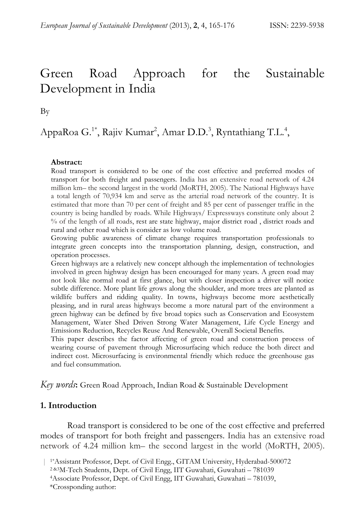# Green Road Approach for the Sustainable Development in India

By

AppaRoa G.<sup>1\*</sup>, Rajiv Kumar<sup>2</sup>, Amar D.D.<sup>3</sup>, Ryntathiang T.L.<sup>4</sup>,

#### **Abstract:**

Road transport is considered to be one of the cost effective and preferred modes of transport for both freight and passengers. India has an extensive road network of 4.24 million km– the second largest in the world (MoRTH, 2005). The National Highways have a total length of 70,934 km and serve as the arterial road network of the country. It is estimated that more than 70 per cent of freight and 85 per cent of passenger traffic in the country is being handled by roads. While Highways/ Expressways constitute only about 2 % of the length of all roads, rest are state highway, major district road , district roads and rural and other road which is consider as low volume road.

Growing public awareness of climate change requires transportation professionals to integrate green concepts into the transportation planning, design, construction, and operation processes.

Green highways are a relatively new concept although the implementation of technologies involved in green highway design has been encouraged for many years. A green road may not look like normal road at first glance, but with closer inspection a driver will notice subtle difference. More plant life grows along the shoulder, and more trees are planted as wildlife buffers and ridding quality. In towns, highways become more aesthetically pleasing, and in rural areas highways become a more natural part of the environment a green highway can be defined by five broad topics such as Conservation and Ecosystem Management, Water Shed Driven Strong Water Management, Life Cycle Energy and Emissions Reduction, Recycles Reuse And Renewable, Overall Societal Benefits.

This paper describes the factor affecting of green road and construction process of wearing course of pavement through Microsurfacing which reduce the both direct and indirect cost. Microsurfacing is environmental friendly which reduce the greenhouse gas and fuel consummation.

*Key words***:** Green Road Approach, Indian Road & Sustainable Development

#### **1. Introduction**

Road transport is considered to be one of the cost effective and preferred modes of transport for both freight and passengers. India has an extensive road network of 4.24 million km– the second largest in the world (MoRTH, 2005).

<sup>&</sup>lt;sup>1\*</sup>Assistant Professor, Dept. of Civil Engg., GITAM University, Hyderabad-500072<br><sup>2&3</sup>M-Tech Students, Dept. of Civil Engg, IIT Guwahati, Guwahati – 781039<br><sup>4</sup>Associate Professor, Dept. of Civil Engg, IIT Guwahati, Guwaha

 <sup>\*</sup>Crossponding author: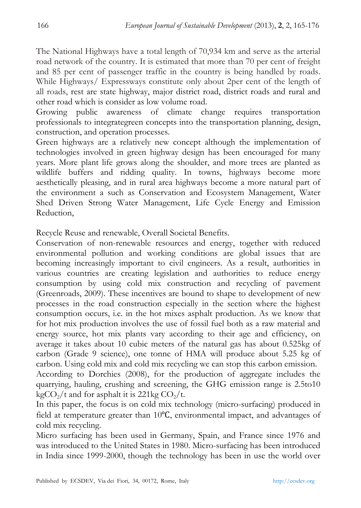The National Highways have a total length of 70,934 km and serve as the arterial road network of the country. It is estimated that more than 70 per cent of freight and 85 per cent of passenger traffic in the country is being handled by roads. While Highways/ Expressways constitute only about 2per cent of the length of all roads, rest are state highway, major district road, district roads and rural and other road which is consider as low volume road.

Growing public awareness of climate change requires transportation professionals to integrategreen concepts into the transportation planning, design, construction, and operation processes.

Green highways are a relatively new concept although the implementation of technologies involved in green highway design has been encouraged for many years. More plant life grows along the shoulder, and more trees are planted as wildlife buffers and ridding quality. In towns, highways become more aesthetically pleasing, and in rural area highways become a more natural part of the environment a such as Conservation and Ecosystem Management, Water Shed Driven Strong Water Management, Life Cycle Energy and Emission Reduction,

Recycle Reuse and renewable, Overall Societal Benefits.

Conservation of non-renewable resources and energy, together with reduced environmental pollution and working conditions are global issues that are becoming increasingly important to civil engineers. As a result, authorities in various countries are creating legislation and authorities to reduce energy consumption by using cold mix construction and recycling of pavement (Greenroads, 2009). These incentives are bound to shape to development of new processes in the road construction especially in the section where the highest consumption occurs, i.e. in the hot mixes asphalt production. As we know that for hot mix production involves the use of fossil fuel both as a raw material and energy source, hot mix plants vary according to their age and efficiency, on average it takes about 10 cubic meters of the natural gas has about 0.525kg of carbon (Grade 9 science), one tonne of HMA will produce about 5.25 kg of carbon. Using cold mix and cold mix recycling we can stop this carbon emission. According to Dorchies (2008), for the production of aggregate includes the

quarrying, hauling, crushing and screening, the GHG emission range is 2.5to10 kgCO<sub>2</sub>/t and for asphalt it is 221kg CO<sub>2</sub>/t.

In this paper, the focus is on cold mix technology (micro-surfacing) produced in field at temperature greater than 10℃, environmental impact, and advantages of cold mix recycling.

Micro surfacing has been used in Germany, Spain, and France since 1976 and was introduced to the United States in 1980. Micro-surfacing has been introduced in India since 1999-2000, though the technology has been in use the world over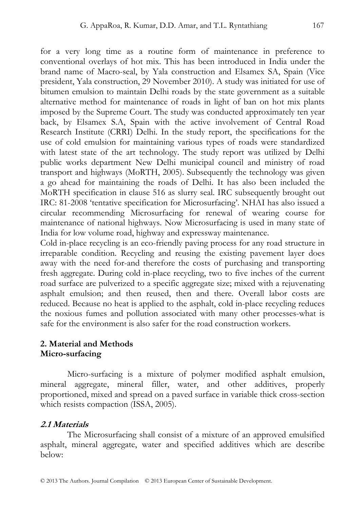for a very long time as a routine form of maintenance in preference to conventional overlays of hot mix. This has been introduced in India under the brand name of Macro-seal, by Yala construction and Elsamex SA, Spain (Vice president, Yala construction, 29 November 2010). A study was initiated for use of bitumen emulsion to maintain Delhi roads by the state government as a suitable alternative method for maintenance of roads in light of ban on hot mix plants imposed by the Supreme Court. The study was conducted approximately ten year back, by Elsamex S.A, Spain with the active involvement of Central Road Research Institute (CRRI) Delhi. In the study report, the specifications for the use of cold emulsion for maintaining various types of roads were standardized with latest state of the art technology. The study report was utilized by Delhi public works department New Delhi municipal council and ministry of road transport and highways (MoRTH, 2005). Subsequently the technology was given a go ahead for maintaining the roads of Delhi. It has also been included the MoRTH specification in clause 516 as slurry seal. IRC subsequently brought out IRC: 81-2008 'tentative specification for Microsurfacing'. NHAI has also issued a circular recommending Microsurfacing for renewal of wearing course for maintenance of national highways. Now Microsurfacing is used in many state of India for low volume road, highway and expressway maintenance.

Cold in-place recycling is an eco-friendly paving process for any road structure in irreparable condition. Recycling and reusing the existing pavement layer does away with the need for-and therefore the costs of purchasing and transporting fresh aggregate. During cold in-place recycling, two to five inches of the current road surface are pulverized to a specific aggregate size; mixed with a rejuvenating asphalt emulsion; and then reused, then and there. Overall labor costs are reduced. Because no heat is applied to the asphalt, cold in-place recycling reduces the noxious fumes and pollution associated with many other processes-what is safe for the environment is also safer for the road construction workers.

#### **2. Material and Methods Micro-surfacing**

Micro-surfacing is a mixture of polymer modified asphalt emulsion, mineral aggregate, mineral filler, water, and other additives, properly proportioned, mixed and spread on a paved surface in variable thick cross-section which resists compaction (ISSA, 2005).

### **2.1 Materials**

The Microsurfacing shall consist of a mixture of an approved emulsified asphalt, mineral aggregate, water and specified additives which are describe below: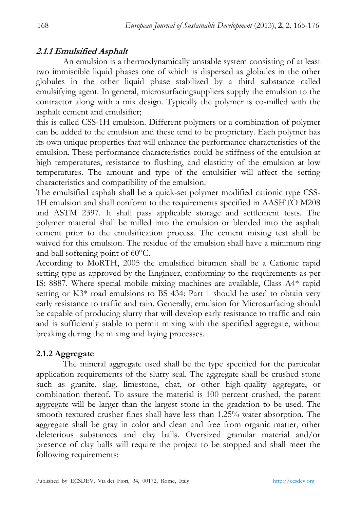## **2.1.1 Emulsified Asphalt**

An emulsion is a thermodynamically unstable system consisting of at least two immiscible liquid phases one of which is dispersed as globules in the other globules in the other liquid phase stabilized by a third substance called emulsifying agent. In general, microsurfacingsuppliers supply the emulsion to the contractor along with a mix design. Typically the polymer is co-milled with the asphalt cement and emulsifier;

this is called CSS-1H emulsion. Different polymers or a combination of polymer can be added to the emulsion and these tend to be proprietary. Each polymer has its own unique properties that will enhance the performance characteristics of the emulsion. These performance characteristics could be stiffness of the emulsion at high temperatures, resistance to flushing, and elasticity of the emulsion at low temperatures. The amount and type of the emulsifier will affect the setting characteristics and compatibility of the emulsion.

The emulsified asphalt shall be a quick-set polymer modified cationic type CSS-1H emulsion and shall conform to the requirements specified in AASHTO M208 and ASTM 2397. It shall pass applicable storage and settlement tests. The polymer material shall be milled into the emulsion or blended into the asphalt cement prior to the emulsification process. The cement mixing test shall be waived for this emulsion. The residue of the emulsion shall have a minimum ring and ball softening point of 60°C.

According to MoRTH, 2005 the emulsified bitumen shall be a Cationic rapid setting type as approved by the Engineer, conforming to the requirements as per IS: 8887. Where special mobile mixing machines are available, Class A4\* rapid setting or K3\* road emulsions to BS 434: Part 1 should be used to obtain very early resistance to traffic and rain. Generally, emulsion for Microsurfacing should be capable of producing slurry that will develop early resistance to traffic and rain and is sufficiently stable to permit mixing with the specified aggregate, without breaking during the mixing and laying processes.

### **2.1.2 Aggregate**

The mineral aggregate used shall be the type specified for the particular application requirements of the slurry seal. The aggregate shall be crushed stone such as granite, slag, limestone, chat, or other high-quality aggregate, or combination thereof. To assure the material is 100 percent crushed, the parent aggregate will be larger than the largest stone in the gradation to be used. The smooth textured crusher fines shall have less than 1.25% water absorption. The aggregate shall be gray in color and clean and free from organic matter, other deleterious substances and clay balls. Oversized granular material and/or presence of clay balls will require the project to be stopped and shall meet the following requirements: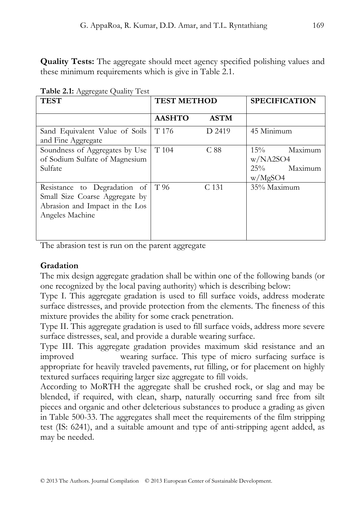**Quality Tests:** The aggregate should meet agency specified polishing values and these minimum requirements which is give in Table 2.1.

| <b>TEST</b>                                                                                                         | <b>TEST METHOD</b> |             | <b>SPECIFICATION</b>                                          |
|---------------------------------------------------------------------------------------------------------------------|--------------------|-------------|---------------------------------------------------------------|
|                                                                                                                     | <b>AASHTO</b>      | <b>ASTM</b> |                                                               |
| Sand Equivalent Value of Soils<br>and Fine Aggregate                                                                | T 176              | D 2419      | 45 Minimum                                                    |
| Soundness of Aggregates by Use<br>of Sodium Sulfate of Magnesium<br>Sulfate                                         | T 104              | C88         | $15\%$<br>Maximum<br>w/NA2SO4<br>Maximum<br>$25\%$<br>w/MgSO4 |
| Resistance to Degradation of<br>Small Size Coarse Aggregate by<br>Abrasion and Impact in the Los<br>Angeles Machine | T 96               | C 131       | 35% Maximum                                                   |

**Table 2.1:** Aggregate Quality Test

The abrasion test is run on the parent aggregate

### **Gradation**

The mix design aggregate gradation shall be within one of the following bands (or one recognized by the local paving authority) which is describing below:

Type I. This aggregate gradation is used to fill surface voids, address moderate surface distresses, and provide protection from the elements. The fineness of this mixture provides the ability for some crack penetration.

Type II. This aggregate gradation is used to fill surface voids, address more severe surface distresses, seal, and provide a durable wearing surface.

Type III. This aggregate gradation provides maximum skid resistance and an improved wearing surface. This type of micro surfacing surface is appropriate for heavily traveled pavements, rut filling, or for placement on highly textured surfaces requiring larger size aggregate to fill voids.

According to MoRTH the aggregate shall be crushed rock, or slag and may be blended, if required, with clean, sharp, naturally occurring sand free from silt pieces and organic and other deleterious substances to produce a grading as given in Table 500-33. The aggregates shall meet the requirements of the film stripping test (IS: 6241), and a suitable amount and type of anti-stripping agent added, as may be needed.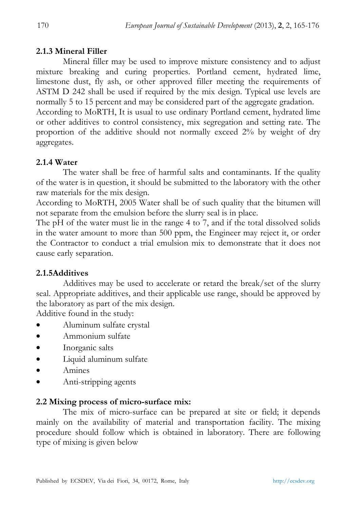### **2.1.3 Mineral Filler**

Mineral filler may be used to improve mixture consistency and to adjust mixture breaking and curing properties. Portland cement, hydrated lime, limestone dust, fly ash, or other approved filler meeting the requirements of ASTM D 242 shall be used if required by the mix design. Typical use levels are normally 5 to 15 percent and may be considered part of the aggregate gradation.

According to MoRTH, It is usual to use ordinary Portland cement, hydrated lime or other additives to control consistency, mix segregation and setting rate. The proportion of the additive should not normally exceed 2% by weight of dry aggregates.

## **2.1.4 Water**

The water shall be free of harmful salts and contaminants. If the quality of the water is in question, it should be submitted to the laboratory with the other raw materials for the mix design.

According to MoRTH, 2005 Water shall be of such quality that the bitumen will not separate from the emulsion before the slurry seal is in place.

The pH of the water must lie in the range 4 to 7, and if the total dissolved solids in the water amount to more than 500 ppm, the Engineer may reject it, or order the Contractor to conduct a trial emulsion mix to demonstrate that it does not cause early separation.

### **2.1.5Additives**

Additives may be used to accelerate or retard the break/set of the slurry seal. Appropriate additives, and their applicable use range, should be approved by the laboratory as part of the mix design.

Additive found in the study:

- Aluminum sulfate crystal
- Ammonium sulfate
- Inorganic salts
- Liquid aluminum sulfate
- Amines
- Anti-stripping agents

#### **2.2 Mixing process of micro-surface mix:**

The mix of micro-surface can be prepared at site or field; it depends mainly on the availability of material and transportation facility. The mixing procedure should follow which is obtained in laboratory. There are following type of mixing is given below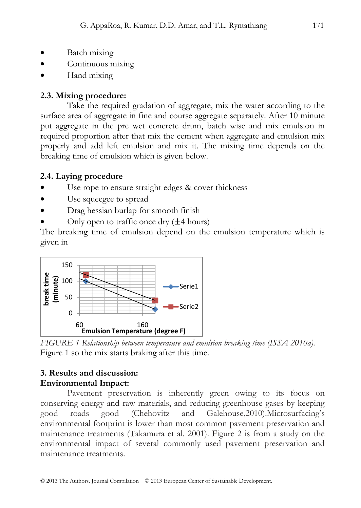- Batch mixing
- Continuous mixing
- Hand mixing

#### **2.3. Mixing procedure:**

Take the required gradation of aggregate, mix the water according to the surface area of aggregate in fine and course aggregate separately. After 10 minute put aggregate in the pre wet concrete drum, batch wise and mix emulsion in required proportion after that mix the cement when aggregate and emulsion mix properly and add left emulsion and mix it. The mixing time depends on the breaking time of emulsion which is given below.

### **2.4. Laying procedure**

- Use rope to ensure straight edges & cover thickness
- Use squeegee to spread
- Drag hessian burlap for smooth finish
- Only open to traffic once dry  $(\pm 4 \text{ hours})$

The breaking time of emulsion depend on the emulsion temperature which is given in



*FIGURE 1 Relationship between temperature and emulsion breaking time (ISSA 2010a).*  Figure 1 so the mix starts braking after this time.

### **3. Results and discussion: Environmental Impact:**

Pavement preservation is inherently green owing to its focus on conserving energy and raw materials, and reducing greenhouse gases by keeping good roads good (Chehovitz and Galehouse,2010).Microsurfacing's environmental footprint is lower than most common pavement preservation and maintenance treatments (Takamura et al. 2001). Figure 2 is from a study on the environmental impact of several commonly used pavement preservation and maintenance treatments.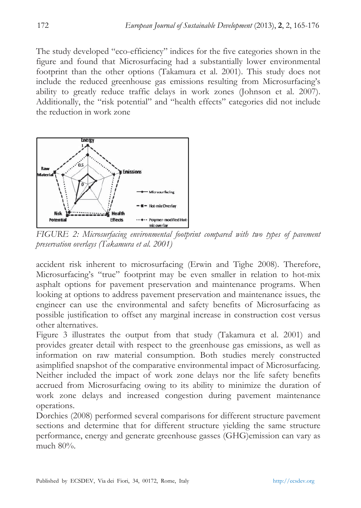The study developed "eco-efficiency" indices for the five categories shown in the figure and found that Microsurfacing had a substantially lower environmental footprint than the other options (Takamura et al. 2001). This study does not include the reduced greenhouse gas emissions resulting from Microsurfacing's ability to greatly reduce traffic delays in work zones (Johnson et al. 2007). Additionally, the "risk potential" and "health effects" categories did not include the reduction in work zone



FIGURE 2: Microsurfacing environmental footprint compared with two types of pavement *preservation overlays (Takamura et al. 2001)* 

accident risk inherent to microsurfacing (Erwin and Tighe 2008). Therefore, Microsurfacing's "true" footprint may be even smaller in relation to hot-mix asphalt options for pavement preservation and maintenance programs. When looking at options to address pavement preservation and maintenance issues, the engineer can use the environmental and safety benefits of Microsurfacing as possible justification to offset any marginal increase in construction cost versus other alternatives.

Figure 3 illustrates the output from that study (Takamura et al. 2001) and provides greater detail with respect to the greenhouse gas emissions, as well as information on raw material consumption. Both studies merely constructed asimplified snapshot of the comparative environmental impact of Microsurfacing. Neither included the impact of work zone delays nor the life safety benefits accrued from Microsurfacing owing to its ability to minimize the duration of work zone delays and increased congestion during pavement maintenance operations.

Dorchies (2008) performed several comparisons for different structure pavement sections and determine that for different structure yielding the same structure performance, energy and generate greenhouse gasses (GHG)emission can vary as much 80%.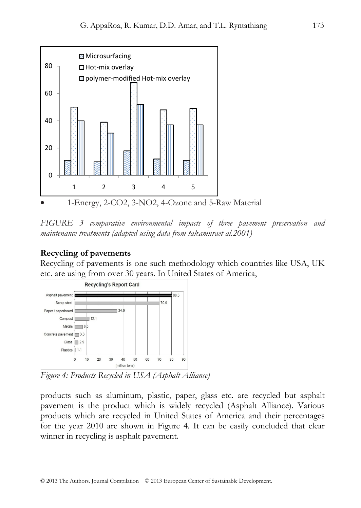

• 1-Energy, 2-CO2, 3-NO2, 4-Ozone and 5-Raw Material

*FIGURE 3 comparative environmental impacts of three pavement preservation and maintenance treatments (adapted using data from takamuraet al.2001)* 

## **Recycling of pavements**

Recycling of pavements is one such methodology which countries like USA, UK etc. are using from over 30 years. In United States of America,



*Figure 4: Products Recycled in USA (Asphalt Alliance)* 

products such as aluminum, plastic, paper, glass etc. are recycled but asphalt pavement is the product which is widely recycled (Asphalt Alliance). Various products which are recycled in United States of America and their percentages for the year 2010 are shown in Figure 4. It can be easily concluded that clear winner in recycling is asphalt pavement.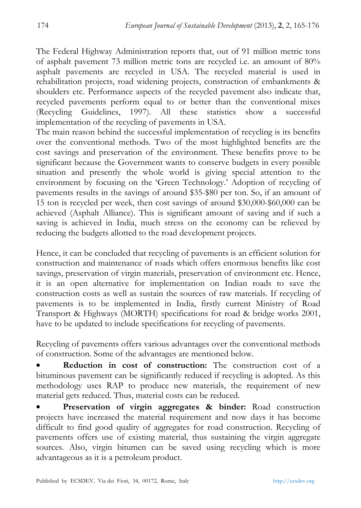The Federal Highway Administration reports that, out of 91 million metric tons of asphalt pavement 73 million metric tons are recycled i.e. an amount of 80% asphalt pavements are recycled in USA. The recycled material is used in rehabilitation projects, road widening projects, construction of embankments & shoulders etc. Performance aspects of the recycled pavement also indicate that, recycled pavements perform equal to or better than the conventional mixes (Recycling Guidelines, 1997). All these statistics show a successful implementation of the recycling of pavements in USA.

The main reason behind the successful implementation of recycling is its benefits over the conventional methods. Two of the most highlighted benefits are the cost savings and preservation of the environment. These benefits prove to be significant because the Government wants to conserve budgets in every possible situation and presently the whole world is giving special attention to the environment by focusing on the 'Green Technology.' Adoption of recycling of pavements results in the savings of around \$35-\$80 per ton. So, if an amount of 15 ton is recycled per week, then cost savings of around \$30,000-\$60,000 can be achieved (Asphalt Alliance). This is significant amount of saving and if such a saving is achieved in India, much stress on the economy can be relieved by reducing the budgets allotted to the road development projects.

Hence, it can be concluded that recycling of pavements is an efficient solution for construction and maintenance of roads which offers enormous benefits like cost savings, preservation of virgin materials, preservation of environment etc. Hence, it is an open alternative for implementation on Indian roads to save the construction costs as well as sustain the sources of raw materials. If recycling of pavements is to be implemented in India, firstly current Ministry of Road Transport & Highways (MORTH) specifications for road & bridge works 2001, have to be updated to include specifications for recycling of pavements.

Recycling of pavements offers various advantages over the conventional methods of construction. Some of the advantages are mentioned below.

**Reduction in cost of construction:** The construction cost of a bituminous pavement can be significantly reduced if recycling is adopted. As this methodology uses RAP to produce new materials, the requirement of new material gets reduced. Thus, material costs can be reduced.

• **Preservation of virgin aggregates & binder:** Road construction projects have increased the material requirement and now days it has become difficult to find good quality of aggregates for road construction. Recycling of pavements offers use of existing material, thus sustaining the virgin aggregate sources. Also, virgin bitumen can be saved using recycling which is more advantageous as it is a petroleum product.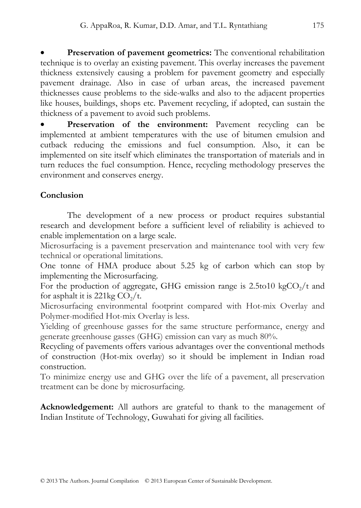• **Preservation of pavement geometrics:** The conventional rehabilitation technique is to overlay an existing pavement. This overlay increases the pavement thickness extensively causing a problem for pavement geometry and especially pavement drainage. Also in case of urban areas, the increased pavement thicknesses cause problems to the side-walks and also to the adjacent properties like houses, buildings, shops etc. Pavement recycling, if adopted, can sustain the thickness of a pavement to avoid such problems.

Preservation of the environment: Pavement recycling can be implemented at ambient temperatures with the use of bitumen emulsion and cutback reducing the emissions and fuel consumption. Also, it can be implemented on site itself which eliminates the transportation of materials and in turn reduces the fuel consumption. Hence, recycling methodology preserves the environment and conserves energy.

## **Conclusion**

The development of a new process or product requires substantial research and development before a sufficient level of reliability is achieved to enable implementation on a large scale.

Microsurfacing is a pavement preservation and maintenance tool with very few technical or operational limitations.

One tonne of HMA produce about 5.25 kg of carbon which can stop by implementing the Microsurfacing.

For the production of aggregate, GHG emission range is  $2.5t010 \text{ kgCO}_2/t$  and for asphalt it is 221kg  $CO<sub>2</sub>/t$ .

Microsurfacing environmental footprint compared with Hot-mix Overlay and Polymer-modified Hot-mix Overlay is less.

Yielding of greenhouse gasses for the same structure performance, energy and generate greenhouse gasses (GHG) emission can vary as much 80%.

Recycling of pavements offers various advantages over the conventional methods of construction (Hot-mix overlay) so it should be implement in Indian road construction.

To minimize energy use and GHG over the life of a pavement, all preservation treatment can be done by microsurfacing.

**Acknowledgement:** All authors are grateful to thank to the management of Indian Institute of Technology, Guwahati for giving all facilities.